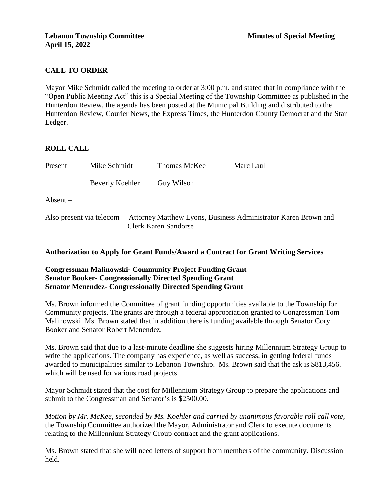# **CALL TO ORDER**

Mayor Mike Schmidt called the meeting to order at 3:00 p.m. and stated that in compliance with the "Open Public Meeting Act" this is a Special Meeting of the Township Committee as published in the Hunterdon Review, the agenda has been posted at the Municipal Building and distributed to the Hunterdon Review, Courier News, the Express Times, the Hunterdon County Democrat and the Star Ledger.

#### **ROLL CALL**

| $Present -$       | Mike Schmidt    | Thomas McKee | Marc Laul |  |
|-------------------|-----------------|--------------|-----------|--|
|                   | Beverly Koehler | Guy Wilson   |           |  |
| $\text{Absent}$ – |                 |              |           |  |
|                   |                 |              |           |  |

Also present via telecom – Attorney Matthew Lyons, Business Administrator Karen Brown and Clerk Karen Sandorse

### **Authorization to Apply for Grant Funds/Award a Contract for Grant Writing Services**

## **Congressman Malinowski- Community Project Funding Grant Senator Booker- Congressionally Directed Spending Grant Senator Menendez- Congressionally Directed Spending Grant**

Ms. Brown informed the Committee of grant funding opportunities available to the Township for Community projects. The grants are through a federal appropriation granted to Congressman Tom Malinowski. Ms. Brown stated that in addition there is funding available through Senator Cory Booker and Senator Robert Menendez.

Ms. Brown said that due to a last-minute deadline she suggests hiring Millennium Strategy Group to write the applications. The company has experience, as well as success, in getting federal funds awarded to municipalities similar to Lebanon Township. Ms. Brown said that the ask is \$813,456. which will be used for various road projects.

Mayor Schmidt stated that the cost for Millennium Strategy Group to prepare the applications and submit to the Congressman and Senator's is \$2500.00.

*Motion by Mr. McKee, seconded by Ms. Koehler and carried by unanimous favorable roll call vote,* the Township Committee authorized the Mayor, Administrator and Clerk to execute documents relating to the Millennium Strategy Group contract and the grant applications.

Ms. Brown stated that she will need letters of support from members of the community. Discussion held.